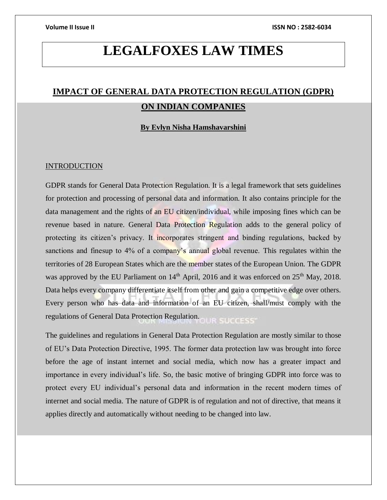# **LEGALFOXES LAW TIMES**

## **IMPACT OF GENERAL DATA PROTECTION REGULATION (GDPR) ON INDIAN COMPANIES**

**By Evlyn Nisha Hamshavarshini** 

#### INTRODUCTION

GDPR stands for General Data Protection Regulation. It is a legal framework that sets guidelines for protection and processing of personal data and information. It also contains principle for the data management and the rights of an EU citizen/individual, while imposing fines which can be revenue based in nature. General Data Protection Regulation adds to the general policy of protecting its citizen's privacy. It incorporates stringent and binding regulations, backed by sanctions and finesup to 4% of a company's annual global revenue. This regulates within the territories of 28 European States which are the member states of the European Union. The GDPR was approved by the EU Parliament on 14<sup>th</sup> April, 2016 and it was enforced on 25<sup>th</sup> May, 2018. Data helps every company differentiate itself from other and gain a competitive edge over others. Every person who has data and information of an EU citizen, shall/must comply with the regulations of General Data Protection Regulation. SUCCESS

The guidelines and regulations in General Data Protection Regulation are mostly similar to those of EU's Data Protection Directive, 1995. The former data protection law was brought into force before the age of instant internet and social media, which now has a greater impact and importance in every individual's life. So, the basic motive of bringing GDPR into force was to protect every EU individual's personal data and information in the recent modern times of internet and social media. The nature of GDPR is of regulation and not of directive, that means it applies directly and automatically without needing to be changed into law.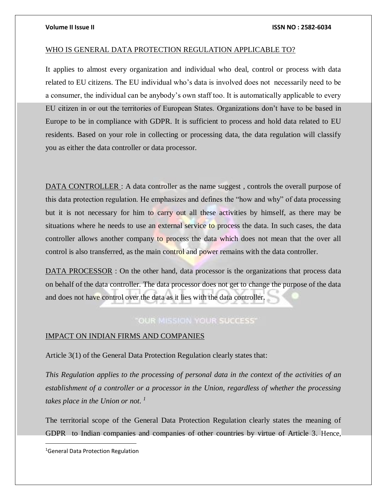#### WHO IS GENERAL DATA PROTECTION REGULATION APPLICABLE TO?

It applies to almost every organization and individual who deal, control or process with data related to EU citizens. The EU individual who's data is involved does not necessarily need to be a consumer, the individual can be anybody's own staff too. It is automatically applicable to every EU citizen in or out the territories of European States. Organizations don't have to be based in Europe to be in compliance with GDPR. It is sufficient to process and hold data related to EU residents. Based on your role in collecting or processing data, the data regulation will classify you as either the data controller or data processor.

DATA CONTROLLER : A data controller as the name suggest, controls the overall purpose of this data protection regulation. He emphasizes and defines the "how and why" of data processing but it is not necessary for him to carry out all these activities by himself, as there may be situations where he needs to use an external service to process the data. In such cases, the data controller allows another company to process the data which does not mean that the over all control is also transferred, as the main control and power remains with the data controller.

DATA PROCESSOR : On the other hand, data processor is the organizations that process data on behalf of the data controller. The data processor does not get to change the purpose of the data and does not have control over the data as it lies with the data controller.

### "OUR MISSION YOUR SUCCESS"

### IMPACT ON INDIAN FIRMS AND COMPANIES

Article 3(1) of the General Data Protection Regulation clearly states that:

*This Regulation applies to the processing of personal data in the context of the activities of an establishment of a controller or a processor in the Union, regardless of whether the processing takes place in the Union or not. 1*

The territorial scope of the General Data Protection Regulation clearly states the meaning of GDPR to Indian companies and companies of other countries by virtue of Article 3. Hence,

<sup>1</sup>General Data Protection Regulation

 $\overline{a}$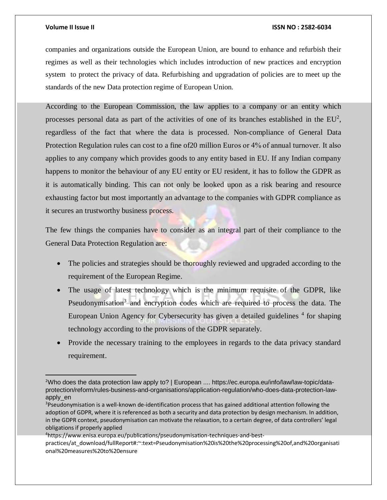#### **Volume II Issue II ISSN NO : 2582-6034**

companies and organizations outside the European Union, are bound to enhance and refurbish their regimes as well as their technologies which includes introduction of new practices and encryption system to protect the privacy of data. Refurbishing and upgradation of policies are to meet up the standards of the new Data protection regime of European Union.

According to the European Commission, the law applies to a company or an entity which processes personal data as part of the activities of one of its branches established in the  $EU^2$ , regardless of the fact that where the data is processed. Non-compliance of General Data Protection Regulation rules can cost to a fine of20 million Euros or 4% of annual turnover. It also applies to any company which provides goods to any entity based in EU. If any Indian company happens to monitor the behaviour of any EU entity or EU resident, it has to follow the GDPR as it is automatically binding. This can not only be looked upon as a risk bearing and resource exhausting factor but most importantly an advantage to the companies with GDPR compliance as it secures an trustworthy business process.

The few things the companies have to consider as an integral part of their compliance to the General Data Protection Regulation are:

- The policies and strategies should be thoroughly reviewed and upgraded according to the requirement of the European Regime.
- The usage of latest technology which is the minimum requisite of the GDPR, like Pseudonymisation<sup>3</sup> and encryption codes which are required to process the data. The European Union Agency for Cybersecurity has given a detailed guidelines <sup>4</sup> for shaping technology according to the provisions of the GDPR separately.
- Provide the necessary training to the employees in regards to the data privacy standard requirement.

4https://www.enisa.europa.eu/publications/pseudonymisation-techniques-and-best-

practices/at\_download/fullReport#:~:text=Pseudonymisation%20is%20the%20processing%20of,and%20organisati onal%20measures%20to%20ensure

<sup>2</sup>Who does the data protection law apply to? | European .... https://ec.europa.eu/info/law/law-topic/dataprotection/reform/rules-business-and-organisations/application-regulation/who-does-data-protection-lawapply\_en

<sup>&</sup>lt;sup>3</sup>Pseudonymisation is a well-known de-identification process that has gained additional attention following the adoption of GDPR, where it is referenced as both a security and data protection by design mechanism. In addition, in the GDPR context, pseudonymisation can motivate the relaxation, to a certain degree, of data controllers' legal obligations if properly applied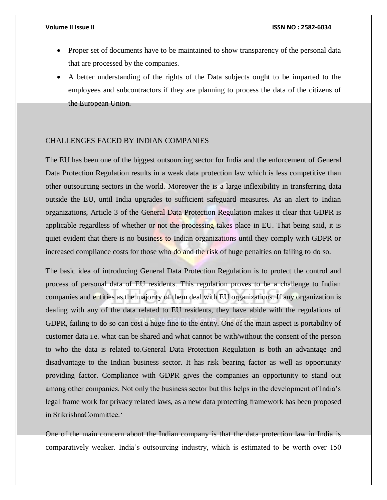- Proper set of documents have to be maintained to show transparency of the personal data that are processed by the companies.
- A better understanding of the rights of the Data subjects ought to be imparted to the employees and subcontractors if they are planning to process the data of the citizens of the European Union.

#### CHALLENGES FACED BY INDIAN COMPANIES

The EU has been one of the biggest outsourcing sector for India and the enforcement of General Data Protection Regulation results in a weak data protection law which is less competitive than other outsourcing sectors in the world. Moreover the is a large inflexibility in transferring data outside the EU, until India upgrades to sufficient safeguard measures. As an alert to Indian organizations, Article 3 of the General Data Protection Regulation makes it clear that GDPR is applicable regardless of whether or not the processing takes place in EU. That being said, it is quiet evident that there is no business to Indian organizations until they comply with GDPR or increased compliance costs for those who do and the risk of huge penalties on failing to do so.

The basic idea of introducing General Data Protection Regulation is to protect the control and process of personal data of EU residents. This regulation proves to be a challenge to Indian companies and entities as the majority of them deal with EU organizations. If any organization is dealing with any of the data related to EU residents, they have abide with the regulations of GDPR, failing to do so can cost a huge fine to the entity. One of the main aspect is portability of customer data i.e. what can be shared and what cannot be with/without the consent of the person to who the data is related to.General Data Protection Regulation is both an advantage and disadvantage to the Indian business sector. It has risk bearing factor as well as opportunity providing factor. Compliance with GDPR gives the companies an opportunity to stand out among other companies. Not only the business sector but this helps in the development of India's legal frame work for privacy related laws, as a new data protecting framework has been proposed in SrikrishnaCommittee.'

One of the main concern about the Indian company is that the data protection law in India is comparatively weaker. India's outsourcing industry, which is estimated to be worth over 150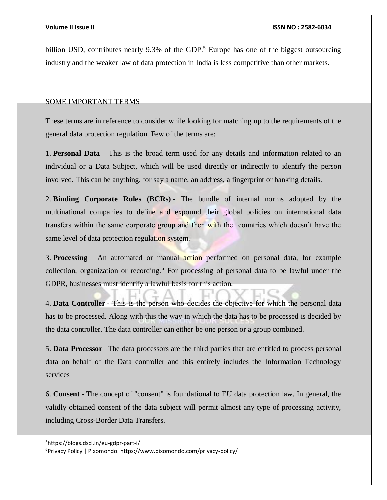billion USD, contributes nearly 9.3% of the GDP.<sup>5</sup> Europe has one of the biggest outsourcing industry and the weaker law of data protection in India is less competitive than other markets.

### SOME IMPORTANT TERMS

These terms are in reference to consider while looking for matching up to the requirements of the general data protection regulation. Few of the terms are:

1. **Personal Data** – This is the broad term used for any details and information related to an individual or a Data Subject, which will be used directly or indirectly to identify the person involved. This can be anything, for say a name, an address, a fingerprint or banking details.

2. **Binding Corporate Rules (BCRs)** - The bundle of internal norms adopted by the multinational companies to define and expound their global policies on international data transfers within the same corporate group and then with the countries which doesn't have the same level of data protection regulation system.

3. **Processing** – An automated or manual action performed on personal data, for example collection, organization or recording.<sup>6</sup> For processing of personal data to be lawful under the GDPR, businesses must identify a lawful basis for this action.

4. **Data Controller** - This is the person who decides the objective for which the personal data has to be processed. Along with this the way in which the data has to be processed is decided by the data controller. The data controller can either be one person or a group combined.

5. **Data Processor** –The data processors are the third parties that are entitled to process personal data on behalf of the Data controller and this entirely includes the Information Technology services

6. **Consent** - The concept of "consent" is foundational to EU data protection law. In general, the validly obtained consent of the data subject will permit almost any type of processing activity, including Cross-Border Data Transfers.

l

<sup>5</sup>https://blogs.dsci.in/eu-gdpr-part-i/

<sup>6</sup>Privacy Policy | Pixomondo. https://www.pixomondo.com/privacy-policy/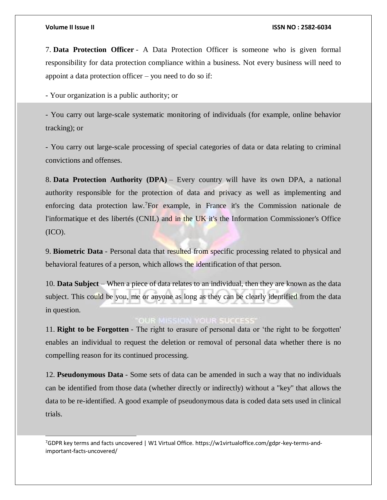l

#### **Volume II Issue II ISSN NO : 2582-6034**

7. **Data Protection Officer** - A Data Protection Officer is someone who is given formal responsibility for data protection compliance within a business. Not every business will need to appoint a data protection officer – you need to do so if:

- Your organization is a public authority; or

- You carry out large-scale systematic monitoring of individuals (for example, online behavior tracking); or

- You carry out large-scale processing of special categories of data or data relating to criminal convictions and offenses.

8. **Data Protection Authority (DPA)** – Every country will have its own DPA, a national authority responsible for the protection of data and privacy as well as implementing and enforcing data protection law.<sup>7</sup>For example, in France it's the Commission nationale de l'informatique et des libertés (CNIL) and in the UK it's the Information Commissioner's Office (ICO).

9. **Biometric Data** - Personal data that resulted from specific processing related to physical and behavioral features of a person, which allows the identification of that person.

10. **Data Subject** – When a piece of data relates to an individual, then they are known as the data subject. This could be you, me or anyone as long as they can be clearly identified from the data in question.

### **OUR MISSION YOUR SUCCESS**

11. **Right to be Forgotten** - The right to erasure of personal data or 'the right to be forgotten' enables an individual to request the deletion or removal of personal data whether there is no compelling reason for its continued processing.

12. **Pseudonymous Data** - Some sets of data can be amended in such a way that no individuals can be identified from those data (whether directly or indirectly) without a "key" that allows the data to be re-identified. A good example of pseudonymous data is coded data sets used in clinical trials.

7GDPR key terms and facts uncovered | W1 Virtual Office. https://w1virtualoffice.com/gdpr-key-terms-andimportant-facts-uncovered/